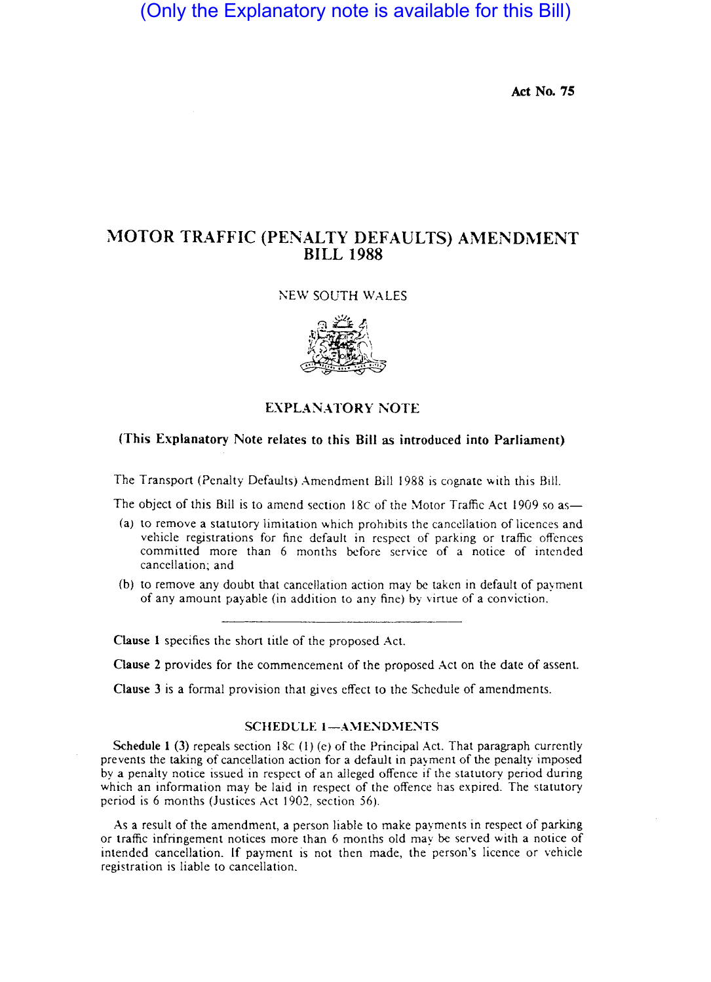# (Only the Explanatory note is available for this Bill)

Act No. *7S* 

## MOTOR TRAFFIC (PENALTY DEFAULTS) AMENDMENT BILL 1988

#### ;\EW SOUTH WALES



EXPLANATORY NOTE

### (This Explanatory Note relates to this Bill as introduced into Parliament)

The Transport (Penalty Defaults) Amendment Bill 1988 is cognate with this Bill.

The object of this Bill is to amend section 18c of the Motor Traffic Act 1909 so as-

- (a) to remove a statutory limitation which prohibits the cancellation of licences and vehicle registrations for fine default in respect of parking or traffic offences committed more than 6 months before service of a notice of intended cancellation; and
- (b) to remove any doubt that cancellation action may be taken in default of payment of any amount payable (in addition to any fine) by virtue of a conviction.

Clause 1 specifies the short title of the proposed Act.

Clause 2 provides for the commencement of the proposed Act on the date of assent.

Clause 3 is a formal provision that gives effect to the Schedule of amendments.

#### SCHEDULE 1-AMENDMENTS

Schedule 1 (3) repeals section 18c (1) (e) of the Principal Act. That paragraph currently prevents the taking of cancellation action for a default in payment of the penalty imposed by a penalty notice issued in respect of an alleged offence if the statutory period during which an information may be laid in respect of the offence has expired. The statutory period is 6 months (Justices Act 1902, section 56).

As a result of the amendment, a person liable to make payments in respect of parking or traffic infringement notices more than 6 months old may be served with a notice of intended cancellation. If payment is not then made, the person's licence or vehicle registration is liable to cancellation.